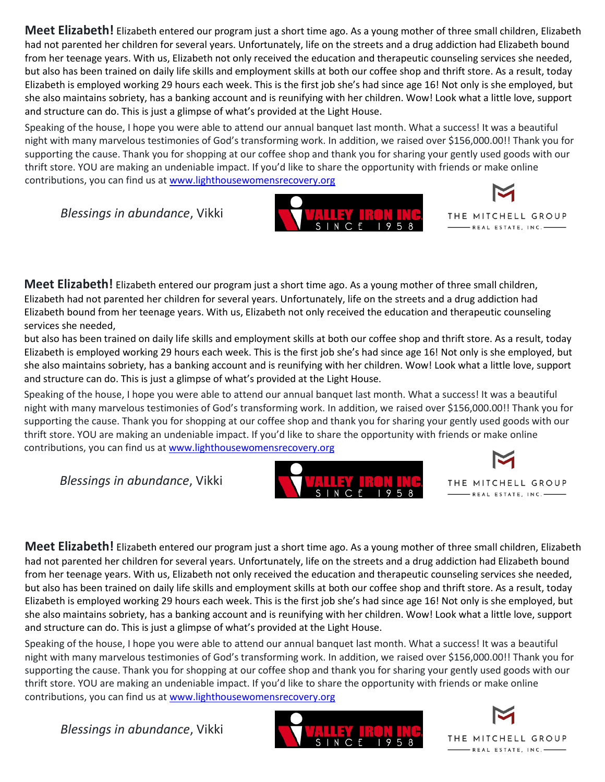**Meet Elizabeth!** Elizabeth entered our program just a short time ago. As a young mother of three small children, Elizabeth had not parented her children for several years. Unfortunately, life on the streets and a drug addiction had Elizabeth bound from her teenage years. With us, Elizabeth not only received the education and therapeutic counseling services she needed, but also has been trained on daily life skills and employment skills at both our coffee shop and thrift store. As a result, today Elizabeth is employed working 29 hours each week. This is the first job she's had since age 16! Not only is she employed, but she also maintains sobriety, has a banking account and is reunifying with her children. Wow! Look what a little love, support and structure can do. This is just a glimpse of what's provided at the Light House.

Speaking of the house, I hope you were able to attend our annual banquet last month. What a success! It was a beautiful night with many marvelous testimonies of God's transforming work. In addition, we raised over \$156,000.00!! Thank you for supporting the cause. Thank you for shopping at our coffee shop and thank you for sharing your gently used goods with our thrift store. YOU are making an undeniable impact. If you'd like to share the opportunity with friends or make online contributions, you can find us at [www.lighthousewomensrecovery.org](about:blank)

*Blessings in abundance*, Vikki





**Meet Elizabeth!** Elizabeth entered our program just a short time ago. As a young mother of three small children, Elizabeth had not parented her children for several years. Unfortunately, life on the streets and a drug addiction had Elizabeth bound from her teenage years. With us, Elizabeth not only received the education and therapeutic counseling services she needed,

but also has been trained on daily life skills and employment skills at both our coffee shop and thrift store. As a result, today Elizabeth is employed working 29 hours each week. This is the first job she's had since age 16! Not only is she employed, but she also maintains sobriety, has a banking account and is reunifying with her children. Wow! Look what a little love, support and structure can do. This is just a glimpse of what's provided at the Light House.

Speaking of the house, I hope you were able to attend our annual banquet last month. What a success! It was a beautiful night with many marvelous testimonies of God's transforming work. In addition, we raised over \$156,000.00!! Thank you for supporting the cause. Thank you for shopping at our coffee shop and thank you for sharing your gently used goods with our thrift store. YOU are making an undeniable impact. If you'd like to share the opportunity with friends or make online contributions, you can find us at [www.lighthousewomensrecovery.org](about:blank)

*Blessings in abundance*, Vikki





**Meet Elizabeth!** Elizabeth entered our program just a short time ago. As a young mother of three small children, Elizabeth had not parented her children for several years. Unfortunately, life on the streets and a drug addiction had Elizabeth bound from her teenage years. With us, Elizabeth not only received the education and therapeutic counseling services she needed, but also has been trained on daily life skills and employment skills at both our coffee shop and thrift store. As a result, today Elizabeth is employed working 29 hours each week. This is the first job she's had since age 16! Not only is she employed, but she also maintains sobriety, has a banking account and is reunifying with her children. Wow! Look what a little love, support and structure can do. This is just a glimpse of what's provided at the Light House.

Speaking of the house, I hope you were able to attend our annual banquet last month. What a success! It was a beautiful night with many marvelous testimonies of God's transforming work. In addition, we raised over \$156,000.00!! Thank you for supporting the cause. Thank you for shopping at our coffee shop and thank you for sharing your gently used goods with our thrift store. YOU are making an undeniable impact. If you'd like to share the opportunity with friends or make online contributions, you can find us at [www.lighthousewomensrecovery.org](about:blank)

*Blessings in abundance*, Vikki